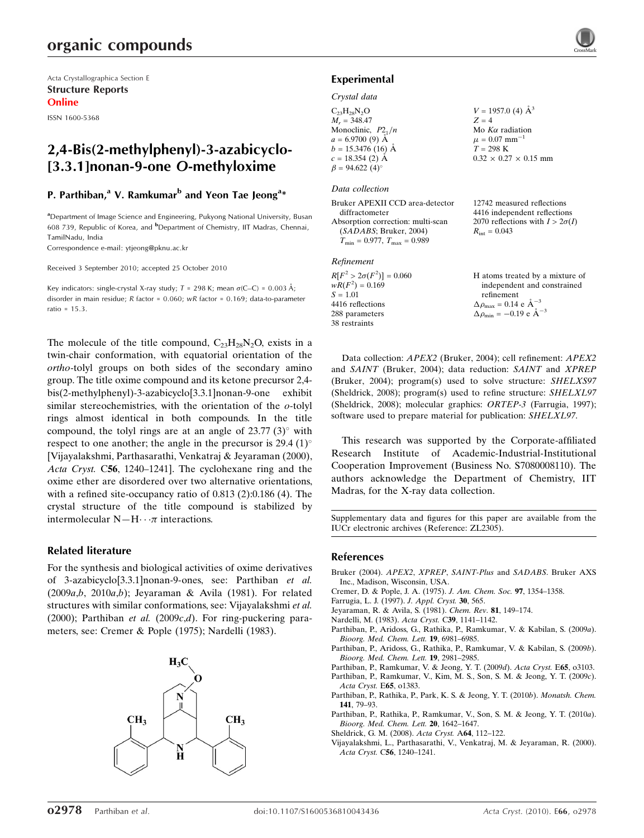# organic compounds

Acta Crystallographica Section E Structure Reports Online

ISSN 1600-5368

# 2,4-Bis(2-methylphenyl)-3-azabicyclo- [3.3.1]nonan-9-one O-methyloxime

## P. Parthiban,<sup>a</sup> V. Ramkumar<sup>b</sup> and Yeon Tae Jeong<sup>a</sup>\*

<sup>a</sup>Department of Image Science and Engineering, Pukyong National University, Busan 608 739, Republic of Korea, and <sup>b</sup>Department of Chemistry, IIT Madras, Chennai, TamilNadu, India

Correspondence e-mail: ytjeong@pknu.ac.kr

Received 3 September 2010; accepted 25 October 2010

Key indicators: single-crystal X-ray study;  $T = 298$  K; mean  $\sigma$ (C–C) = 0.003 Å; disorder in main residue; R factor = 0.060; wR factor = 0.169; data-to-parameter ratio = 15.3.

The molecule of the title compound,  $C_{23}H_{28}N_2O$ , exists in a twin-chair conformation, with equatorial orientation of the ortho-tolyl groups on both sides of the secondary amino group. The title oxime compound and its ketone precursor 2,4 bis(2-methylphenyl)-3-azabicyclo[3.3.1]nonan-9-one exhibit similar stereochemistries, with the orientation of the  $o$ -tolyl rings almost identical in both compounds. In the title compound, the tolyl rings are at an angle of  $23.77$  (3) $^{\circ}$  with respect to one another; the angle in the precursor is 29.4  $(1)^\circ$ [Vijayalakshmi, Parthasarathi, Venkatraj & Jeyaraman (2000), Acta Cryst. C56, 1240–1241]. The cyclohexane ring and the oxime ether are disordered over two alternative orientations, with a refined site-occupancy ratio of 0.813 (2):0.186 (4). The crystal structure of the title compound is stabilized by intermolecular  $N-H \cdot \cdot \pi$  interactions.

### Related literature

For the synthesis and biological activities of oxime derivatives of 3-azabicyclo[3.3.1]nonan-9-ones, see: Parthiban et al. (2009a,b, 2010a,b); Jeyaraman & Avila (1981). For related structures with similar conformations, see: Vijayalakshmi et al. (2000); Parthiban et al. (2009 $c,d$ ). For ring-puckering parameters, see: Cremer & Pople (1975); Nardelli (1983).



### Experimental

### Crystal data

 $C_{23}H_{28}N_2O$  $M_r = 348.47$ Monoclinic,  $P2_1/n$  $a = 6.9700(9)$  Å  $b = 15.3476$  (16) Å  $c = 18.354$  (2) Å  $\beta = 94.622$  (4)<sup>o</sup>  $V = 1957.0$  (4)  $\AA^3$  $Z = 4$ Mo  $K\alpha$  radiation  $\mu = 0.07$  mm<sup>-1</sup>  $T = 298 \text{ K}$  $0.32 \times 0.27 \times 0.15$  mm

### Data collection

Bruker APEXII CCD area-detector diffractometer Absorption correction: multi-scan (SADABS; Bruker, 2004)  $T_{\text{min}} = 0.977$ ,  $T_{\text{max}} = 0.989$ 

#### Refinement

 $R[F^2 > 2\sigma(F^2)] = 0.060$  $wR(F^2) = 0.169$  $S = 1.01$ 4416 reflections 288 parameters 38 restraints

12742 measured reflections 4416 independent reflections 2070 reflections with  $I > 2\sigma(I)$  $R_{\text{int}} = 0.043$ 

H atoms treated by a mixture of independent and constrained refinement  $\Delta \rho_{\text{max}} = 0.14 \text{ e A}^{-3}$  $\Delta \rho_{\text{min}} = -0.19$  e  $\rm{\AA}^{-3}$ 

Data collection: APEX2 (Bruker, 2004); cell refinement: APEX2 and SAINT (Bruker, 2004); data reduction: SAINT and XPREP (Bruker, 2004); program(s) used to solve structure: SHELXS97 (Sheldrick, 2008); program(s) used to refine structure: SHELXL97 (Sheldrick, 2008); molecular graphics: ORTEP-3 (Farrugia, 1997); software used to prepare material for publication: SHELXL97.

This research was supported by the Corporate-affiliated Research Institute of Academic-Industrial-Institutional Cooperation Improvement (Business No. S7080008110). The authors acknowledge the Department of Chemistry, IIT Madras, for the X-ray data collection.

Supplementary data and figures for this paper are available from the IUCr electronic archives (Reference: ZL2305).

### References

- [Bruker \(2004\).](http://scripts.iucr.org/cgi-bin/cr.cgi?rm=pdfbb&cnor=zl2305&bbid=BB1) APEX2, XPREP, SAINT-Plus and SADABS. Bruker AXS [Inc., Madison, Wisconsin, USA.](http://scripts.iucr.org/cgi-bin/cr.cgi?rm=pdfbb&cnor=zl2305&bbid=BB1)
- [Cremer, D. & Pople, J. A. \(1975\).](http://scripts.iucr.org/cgi-bin/cr.cgi?rm=pdfbb&cnor=zl2305&bbid=BB2) J. Am. Chem. Soc. 97, 1354–1358.
- [Farrugia, L. J. \(1997\).](http://scripts.iucr.org/cgi-bin/cr.cgi?rm=pdfbb&cnor=zl2305&bbid=BB3) J. Appl. Cryst. 30, 565.
- [Jeyaraman, R. & Avila, S. \(1981\).](http://scripts.iucr.org/cgi-bin/cr.cgi?rm=pdfbb&cnor=zl2305&bbid=BB4) Chem. Rev. 81, 149–174.
- [Nardelli, M. \(1983\).](http://scripts.iucr.org/cgi-bin/cr.cgi?rm=pdfbb&cnor=zl2305&bbid=BB5) Acta Cryst. C39, 1141–1142.
- [Parthiban, P., Aridoss, G., Rathika, P., Ramkumar, V. & Kabilan, S. \(2009](http://scripts.iucr.org/cgi-bin/cr.cgi?rm=pdfbb&cnor=zl2305&bbid=BB6)a). [Bioorg. Med. Chem. Lett.](http://scripts.iucr.org/cgi-bin/cr.cgi?rm=pdfbb&cnor=zl2305&bbid=BB6) 19, 6981–6985.
- [Parthiban, P., Aridoss, G., Rathika, P., Ramkumar, V. & Kabilan, S. \(2009](http://scripts.iucr.org/cgi-bin/cr.cgi?rm=pdfbb&cnor=zl2305&bbid=BB7)b). [Bioorg. Med. Chem. Lett.](http://scripts.iucr.org/cgi-bin/cr.cgi?rm=pdfbb&cnor=zl2305&bbid=BB7) 19, 2981–2985.
- [Parthiban, P., Ramkumar, V. & Jeong, Y. T. \(2009](http://scripts.iucr.org/cgi-bin/cr.cgi?rm=pdfbb&cnor=zl2305&bbid=BB8)d). Acta Cryst. E65, o3103.
- [Parthiban, P., Ramkumar, V., Kim, M. S., Son, S. M. & Jeong, Y. T. \(2009](http://scripts.iucr.org/cgi-bin/cr.cgi?rm=pdfbb&cnor=zl2305&bbid=BB9)c). [Acta Cryst.](http://scripts.iucr.org/cgi-bin/cr.cgi?rm=pdfbb&cnor=zl2305&bbid=BB9) E65, o1383.
- [Parthiban, P., Rathika, P., Park, K. S. & Jeong, Y. T. \(2010](http://scripts.iucr.org/cgi-bin/cr.cgi?rm=pdfbb&cnor=zl2305&bbid=BB10)b). Monatsh. Chem. 141[, 79–93.](http://scripts.iucr.org/cgi-bin/cr.cgi?rm=pdfbb&cnor=zl2305&bbid=BB10)
- [Parthiban, P., Rathika, P., Ramkumar, V., Son, S. M. & Jeong, Y. T. \(2010](http://scripts.iucr.org/cgi-bin/cr.cgi?rm=pdfbb&cnor=zl2305&bbid=BB11)a). [Bioorg. Med. Chem. Lett.](http://scripts.iucr.org/cgi-bin/cr.cgi?rm=pdfbb&cnor=zl2305&bbid=BB11) 20, 1642–1647.
- [Sheldrick, G. M. \(2008\).](http://scripts.iucr.org/cgi-bin/cr.cgi?rm=pdfbb&cnor=zl2305&bbid=BB12) Acta Cryst. A64, 112–122.
- [Vijayalakshmi, L., Parthasarathi, V., Venkatraj, M. & Jeyaraman, R. \(2000\).](http://scripts.iucr.org/cgi-bin/cr.cgi?rm=pdfbb&cnor=zl2305&bbid=BB13) Acta Cryst. C56[, 1240–1241.](http://scripts.iucr.org/cgi-bin/cr.cgi?rm=pdfbb&cnor=zl2305&bbid=BB13)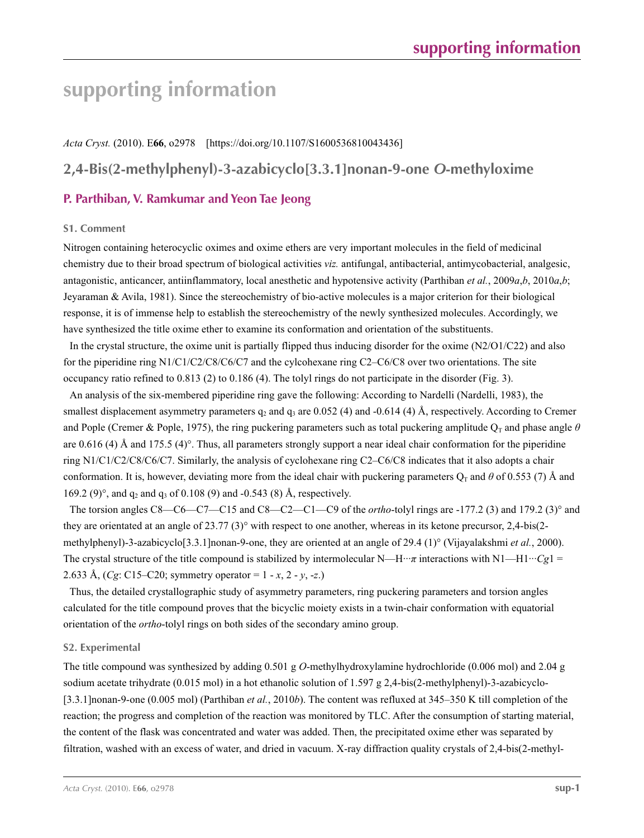# **supporting information**

*Acta Cryst.* (2010). E**66**, o2978 [https://doi.org/10.1107/S1600536810043436] **2,4-Bis(2-methylphenyl)-3-azabicyclo[3.3.1]nonan-9-one** *O***-methyloxime**

## **P. Parthiban, V. Ramkumar and Yeon Tae Jeong**

### **S1. Comment**

Nitrogen containing heterocyclic oximes and oxime ethers are very important molecules in the field of medicinal chemistry due to their broad spectrum of biological activities *viz.* antifungal, antibacterial, antimycobacterial, analgesic, antagonistic, anticancer, antiinflammatory, local anesthetic and hypotensive activity (Parthiban *et al.*, 2009*a*,*b*, 2010*a*,*b*; Jeyaraman & Avila, 1981). Since the stereochemistry of bio-active molecules is a major criterion for their biological response, it is of immense help to establish the stereochemistry of the newly synthesized molecules. Accordingly, we have synthesized the title oxime ether to examine its conformation and orientation of the substituents.

In the crystal structure, the oxime unit is partially flipped thus inducing disorder for the oxime  $(N2/O1/C22)$  and also for the piperidine ring N1/C1/C2/C8/C6/C7 and the cylcohexane ring C2–C6/C8 over two orientations. The site occupancy ratio refined to 0.813 (2) to 0.186 (4). The tolyl rings do not participate in the disorder (Fig. 3).

An analysis of the six-membered piperidine ring gave the following: According to Nardelli (Nardelli, 1983), the smallest displacement asymmetry parameters  $q_2$  and  $q_3$  are 0.052 (4) and -0.614 (4) Å, respectively. According to Cremer and Pople (Cremer & Pople, 1975), the ring puckering parameters such as total puckering amplitude  $Q_T$  and phase angle  $\theta$ are 0.616 (4) Å and 175.5 (4)°. Thus, all parameters strongly support a near ideal chair conformation for the piperidine ring N1/C1/C2/C8/C6/C7. Similarly, the analysis of cyclohexane ring C2–C6/C8 indicates that it also adopts a chair conformation. It is, however, deviating more from the ideal chair with puckering parameters  $O_T$  and  $\theta$  of 0.553 (7) Å and 169.2 (9)<sup>o</sup>, and  $q_2$  and  $q_3$  of 0.108 (9) and -0.543 (8) Å, respectively.

The torsion angles C8—C6—C7—C15 and C8—C2—C1—C9 of the *ortho*-tolyl rings are -177.2 (3) and 179.2 (3)° and they are orientated at an angle of 23.77 (3)° with respect to one another, whereas in its ketone precursor, 2,4-bis(2 methylphenyl)-3-azabicyclo[3.3.1]nonan-9-one, they are oriented at an angle of 29.4 (1)° (Vijayalakshmi *et al.*, 2000). The crystal structure of the title compound is stabilized by intermolecular N—H···*π* interactions with N1—H1···*Cg*1 = 2.633 Å, (*Cg*: C15–C20; symmetry operator = 1 - *x*, 2 - *y*, -*z*.)

Thus, the detailed crystallographic study of asymmetry parameters, ring puckering parameters and torsion angles calculated for the title compound proves that the bicyclic moiety exists in a twin-chair conformation with equatorial orientation of the *ortho*-tolyl rings on both sides of the secondary amino group.

### **S2. Experimental**

The title compound was synthesized by adding 0.501 g *O*-methylhydroxylamine hydrochloride (0.006 mol) and 2.04 g sodium acetate trihydrate (0.015 mol) in a hot ethanolic solution of 1.597 g 2,4-bis(2-methylphenyl)-3-azabicyclo-[3.3.1]nonan-9-one (0.005 mol) (Parthiban *et al.*, 2010*b*). The content was refluxed at 345–350 K till completion of the reaction; the progress and completion of the reaction was monitored by TLC. After the consumption of starting material, the content of the flask was concentrated and water was added. Then, the precipitated oxime ether was separated by filtration, washed with an excess of water, and dried in vacuum. X-ray diffraction quality crystals of 2,4-bis(2-methyl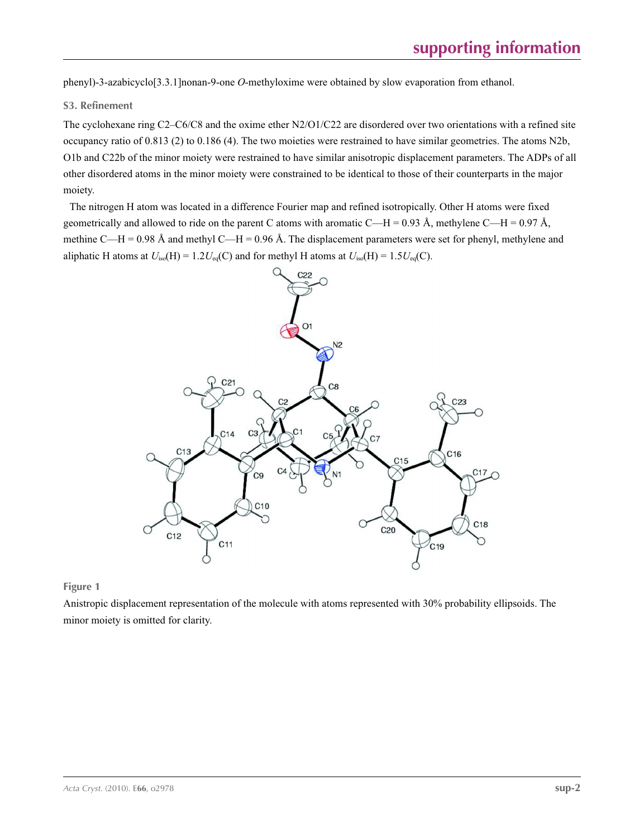phenyl)-3-azabicyclo[3.3.1]nonan-9-one *O*-methyloxime were obtained by slow evaporation from ethanol.

### **S3. Refinement**

The cyclohexane ring C2–C6/C8 and the oxime ether N2/O1/C22 are disordered over two orientations with a refined site occupancy ratio of 0.813 (2) to 0.186 (4). The two moieties were restrained to have similar geometries. The atoms N2b, O1b and C22b of the minor moiety were restrained to have similar anisotropic displacement parameters. The ADPs of all other disordered atoms in the minor moiety were constrained to be identical to those of their counterparts in the major moiety.

The nitrogen H atom was located in a difference Fourier map and refined isotropically. Other H atoms were fixed geometrically and allowed to ride on the parent C atoms with aromatic C—H = 0.93 Å, methylene C—H = 0.97 Å, methine C—H = 0.98 Å and methyl C—H = 0.96 Å. The displacement parameters were set for phenyl, methylene and aliphatic H atoms at  $U_{iso}(H) = 1.2U_{eq}(C)$  and for methyl H atoms at  $U_{iso}(H) = 1.5U_{eq}(C)$ .



**Figure 1**

Anistropic displacement representation of the molecule with atoms represented with 30% probability ellipsoids. The minor moiety is omitted for clarity.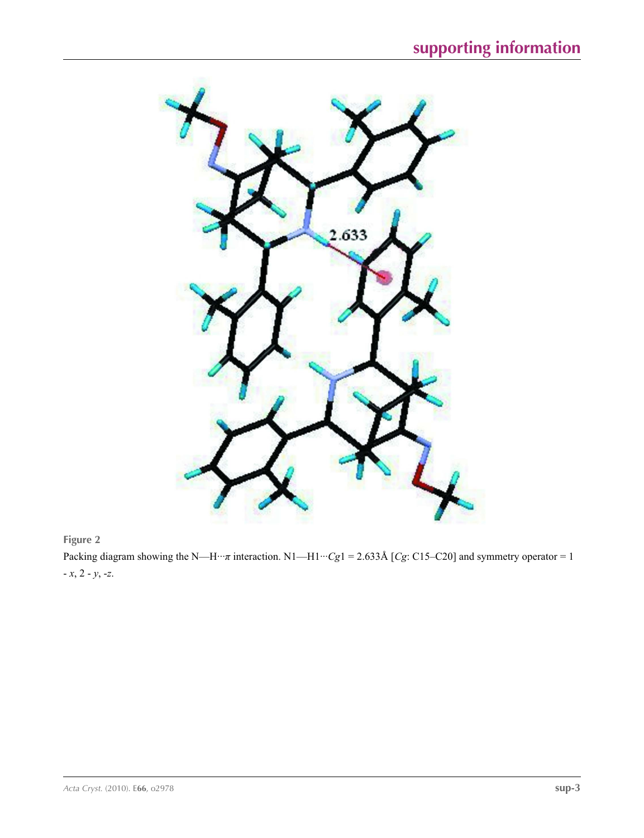



Packing diagram showing the N—H···*π* interaction. N1—H1···*Cg*1 = 2.633Å [*Cg*: C15–C20] and symmetry operator = 1 - *x*, 2 - *y*, -*z*.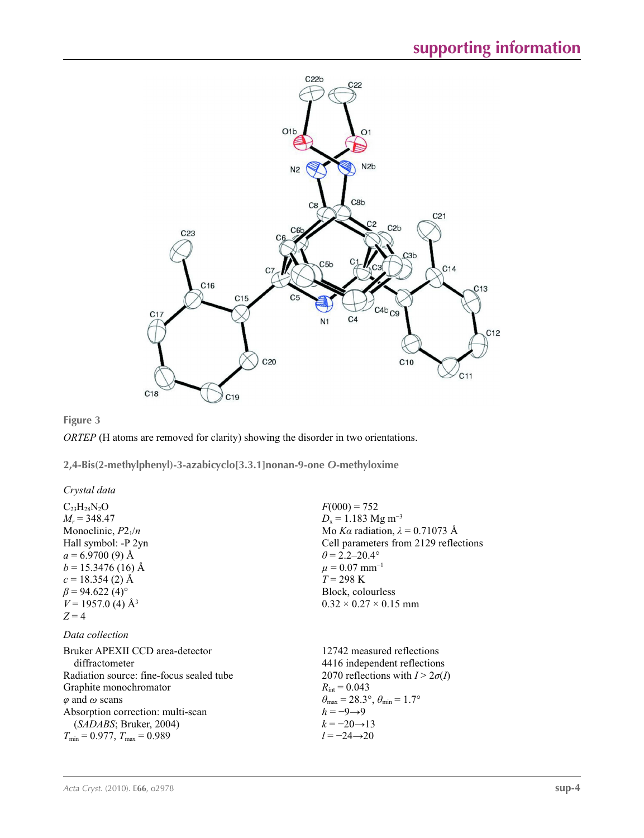

### **Figure 3**

*ORTEP* (H atoms are removed for clarity) showing the disorder in two orientations.

**2,4-Bis(2-methylphenyl)-3-azabicyclo[3.3.1]nonan-9-one** *O***-methyloxime** 

| Crystal data |  |
|--------------|--|
|--------------|--|

| $C_{23}H_{28}N_2O$                       | $F(000) = 752$                                        |
|------------------------------------------|-------------------------------------------------------|
| $M_r = 348.47$                           | $D_x = 1.183$ Mg m <sup>-3</sup>                      |
| Monoclinic, $P2_1/n$                     | Mo Ka radiation, $\lambda = 0.71073$ Å                |
| Hall symbol: -P 2yn                      | Cell parameters from 2129 reflections                 |
| $a = 6.9700(9)$ Å                        | $\theta$ = 2.2–20.4°                                  |
| $b = 15.3476(16)$ Å                      | $\mu = 0.07$ mm <sup>-1</sup>                         |
| $c = 18.354(2)$ Å                        | $T = 298 \text{ K}$                                   |
| $\beta$ = 94.622 (4) <sup>o</sup>        | Block, colourless                                     |
| $V = 1957.0$ (4) Å <sup>3</sup>          | $0.32 \times 0.27 \times 0.15$ mm                     |
| $Z=4$                                    |                                                       |
| Data collection                          |                                                       |
| Bruker APEXII CCD area-detector          | 12742 measured reflections                            |
| diffractometer                           | 4416 independent reflections                          |
| Radiation source: fine-focus sealed tube | 2070 reflections with $I > 2\sigma(I)$                |
| Graphite monochromator                   | $R_{\text{int}} = 0.043$                              |
| $\varphi$ and $\omega$ scans             | $\theta_{\rm max}$ = 28.3°, $\theta_{\rm min}$ = 1.7° |
| Absorption correction: multi-scan        | $h = -9 \rightarrow 9$                                |
| (SADABS; Bruker, 2004)                   | $k = -20 \rightarrow 13$                              |
| $T_{\min} = 0.977$ , $T_{\max} = 0.989$  | $l = -24 \rightarrow 20$                              |
|                                          |                                                       |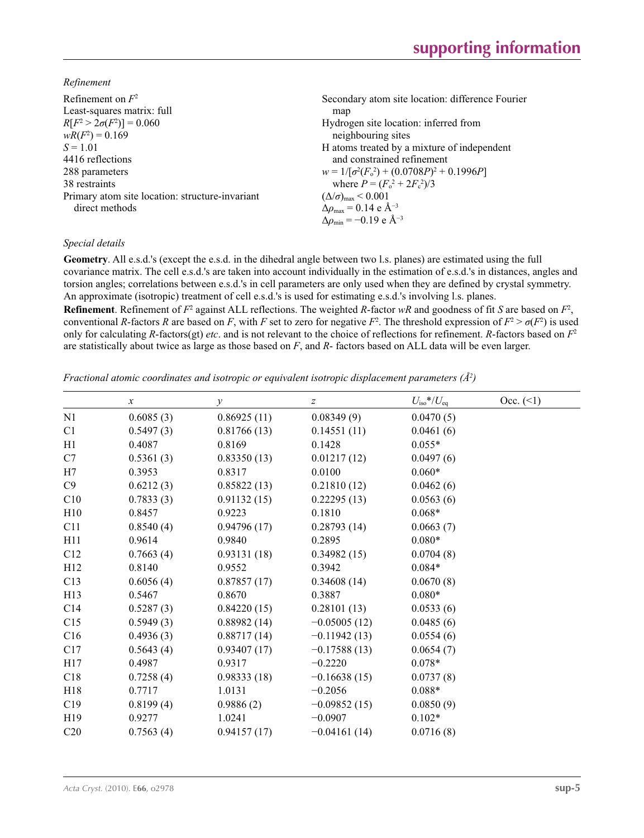*Refinement*

| Secondary atom site location: difference Fourier         |
|----------------------------------------------------------|
| map                                                      |
| Hydrogen site location: inferred from                    |
| neighbouring sites                                       |
| H atoms treated by a mixture of independent              |
| and constrained refinement                               |
| $w = 1/[\sigma^2(F_0^2) + (0.0708P)^2 + 0.1996P]$        |
| where $P = (F_0^2 + 2F_c^2)/3$                           |
| $(\Delta/\sigma)_{\text{max}}$ < 0.001                   |
| $\Delta\rho_{\rm max} = 0.14 \text{ e } \text{\AA}^{-3}$ |
| $\Delta\rho_{\rm min} = -0.19$ e Å <sup>-3</sup>         |
|                                                          |

## *Special details*

**Geometry**. All e.s.d.'s (except the e.s.d. in the dihedral angle between two l.s. planes) are estimated using the full covariance matrix. The cell e.s.d.'s are taken into account individually in the estimation of e.s.d.'s in distances, angles and torsion angles; correlations between e.s.d.'s in cell parameters are only used when they are defined by crystal symmetry. An approximate (isotropic) treatment of cell e.s.d.'s is used for estimating e.s.d.'s involving l.s. planes.

**Refinement**. Refinement of  $F^2$  against ALL reflections. The weighted *R*-factor  $wR$  and goodness of fit *S* are based on  $F^2$ , conventional *R*-factors *R* are based on *F*, with *F* set to zero for negative  $F^2$ . The threshold expression of  $F^2 > \sigma(F^2)$  is used only for calculating *R*-factors(gt) *etc*. and is not relevant to the choice of reflections for refinement. *R*-factors based on *F*<sup>2</sup> are statistically about twice as large as those based on *F*, and *R*- factors based on ALL data will be even larger.

*Fractional atomic coordinates and isotropic or equivalent isotropic displacement parameters (Å<sup>2</sup>)* 

|                 | $\boldsymbol{x}$ | $\mathcal{Y}$ | Z              | $U_{\rm iso}$ */ $U_{\rm eq}$ | Occ. (2) |
|-----------------|------------------|---------------|----------------|-------------------------------|----------|
| N1              | 0.6085(3)        | 0.86925(11)   | 0.08349(9)     | 0.0470(5)                     |          |
| C1              | 0.5497(3)        | 0.81766(13)   | 0.14551(11)    | 0.0461(6)                     |          |
| H1              | 0.4087           | 0.8169        | 0.1428         | $0.055*$                      |          |
| C7              | 0.5361(3)        | 0.83350(13)   | 0.01217(12)    | 0.0497(6)                     |          |
| H7              | 0.3953           | 0.8317        | 0.0100         | $0.060*$                      |          |
| C9              | 0.6212(3)        | 0.85822(13)   | 0.21810(12)    | 0.0462(6)                     |          |
| C10             | 0.7833(3)        | 0.91132(15)   | 0.22295(13)    | 0.0563(6)                     |          |
| H10             | 0.8457           | 0.9223        | 0.1810         | $0.068*$                      |          |
| C11             | 0.8540(4)        | 0.94796(17)   | 0.28793(14)    | 0.0663(7)                     |          |
| H11             | 0.9614           | 0.9840        | 0.2895         | $0.080*$                      |          |
| C12             | 0.7663(4)        | 0.93131(18)   | 0.34982(15)    | 0.0704(8)                     |          |
| H12             | 0.8140           | 0.9552        | 0.3942         | $0.084*$                      |          |
| C13             | 0.6056(4)        | 0.87857(17)   | 0.34608(14)    | 0.0670(8)                     |          |
| H13             | 0.5467           | 0.8670        | 0.3887         | $0.080*$                      |          |
| C14             | 0.5287(3)        | 0.84220(15)   | 0.28101(13)    | 0.0533(6)                     |          |
| C15             | 0.5949(3)        | 0.88982(14)   | $-0.05005(12)$ | 0.0485(6)                     |          |
| C16             | 0.4936(3)        | 0.88717(14)   | $-0.11942(13)$ | 0.0554(6)                     |          |
| C17             | 0.5643(4)        | 0.93407(17)   | $-0.17588(13)$ | 0.0654(7)                     |          |
| H17             | 0.4987           | 0.9317        | $-0.2220$      | $0.078*$                      |          |
| C18             | 0.7258(4)        | 0.98333(18)   | $-0.16638(15)$ | 0.0737(8)                     |          |
| H18             | 0.7717           | 1.0131        | $-0.2056$      | $0.088*$                      |          |
| C19             | 0.8199(4)        | 0.9886(2)     | $-0.09852(15)$ | 0.0850(9)                     |          |
| H19             | 0.9277           | 1.0241        | $-0.0907$      | $0.102*$                      |          |
| C <sub>20</sub> | 0.7563(4)        | 0.94157(17)   | $-0.04161(14)$ | 0.0716(8)                     |          |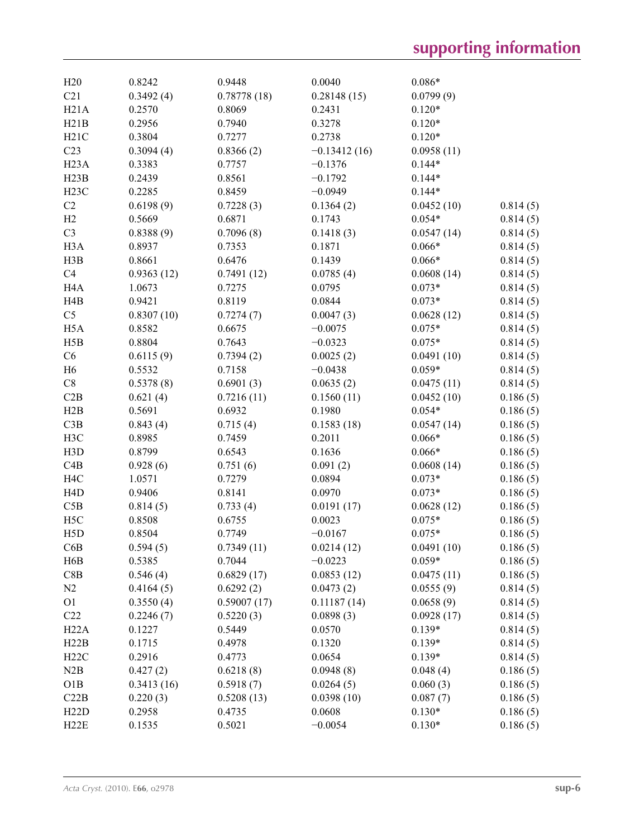| H20               | 0.8242     | 0.9448      | 0.0040         | $0.086*$   |                      |
|-------------------|------------|-------------|----------------|------------|----------------------|
| C21               | 0.3492(4)  | 0.78778(18) | 0.28148(15)    | 0.0799(9)  |                      |
| H21A              | 0.2570     | 0.8069      | 0.2431         | $0.120*$   |                      |
| H21B              | 0.2956     | 0.7940      | 0.3278         | $0.120*$   |                      |
| H21C              | 0.3804     | 0.7277      | 0.2738         | $0.120*$   |                      |
| C23               | 0.3094(4)  | 0.8366(2)   | $-0.13412(16)$ | 0.0958(11) |                      |
| H <sub>23</sub> A | 0.3383     | 0.7757      | $-0.1376$      | $0.144*$   |                      |
| H23B              | 0.2439     | 0.8561      | $-0.1792$      | $0.144*$   |                      |
| H23C              | 0.2285     | 0.8459      | $-0.0949$      | $0.144*$   |                      |
| C2                | 0.6198(9)  | 0.7228(3)   | 0.1364(2)      | 0.0452(10) | 0.814(5)             |
| H2                | 0.5669     | 0.6871      | 0.1743         | $0.054*$   | 0.814(5)             |
| C <sub>3</sub>    | 0.8388(9)  | 0.7096(8)   | 0.1418(3)      | 0.0547(14) | 0.814(5)             |
| H <sub>3</sub> A  | 0.8937     | 0.7353      | 0.1871         | $0.066*$   | 0.814(5)             |
| H3B               | 0.8661     | 0.6476      | 0.1439         | $0.066*$   | 0.814(5)             |
| C4                | 0.9363(12) | 0.7491(12)  | 0.0785(4)      | 0.0608(14) | 0.814(5)             |
| H <sub>4</sub> A  | 1.0673     | 0.7275      | 0.0795         | $0.073*$   | 0.814(5)             |
| H4B               | 0.9421     | 0.8119      | 0.0844         | $0.073*$   | 0.814(5)             |
| C <sub>5</sub>    | 0.8307(10) | 0.7274(7)   | 0.0047(3)      | 0.0628(12) | 0.814(5)             |
| H <sub>5</sub> A  | 0.8582     | 0.6675      | $-0.0075$      | $0.075*$   | 0.814(5)             |
| H5B               | 0.8804     | 0.7643      | $-0.0323$      | $0.075*$   | 0.814(5)             |
| C6                | 0.6115(9)  | 0.7394(2)   | 0.0025(2)      | 0.0491(10) | 0.814(5)             |
| H <sub>6</sub>    | 0.5532     | 0.7158      | $-0.0438$      | $0.059*$   |                      |
| C8                | 0.5378(8)  | 0.6901(3)   | 0.0635(2)      | 0.0475(11) | 0.814(5)<br>0.814(5) |
|                   |            |             |                |            |                      |
| C2B               | 0.621(4)   | 0.7216(11)  | 0.1560(11)     | 0.0452(10) | 0.186(5)             |
| H2B               | 0.5691     | 0.6932      | 0.1980         | $0.054*$   | 0.186(5)             |
| C3B               | 0.843(4)   | 0.715(4)    | 0.1583(18)     | 0.0547(14) | 0.186(5)             |
| H3C               | 0.8985     | 0.7459      | 0.2011         | $0.066*$   | 0.186(5)             |
| H3D               | 0.8799     | 0.6543      | 0.1636         | $0.066*$   | 0.186(5)             |
| C4B               | 0.928(6)   | 0.751(6)    | 0.091(2)       | 0.0608(14) | 0.186(5)             |
| H <sub>4</sub> C  | 1.0571     | 0.7279      | 0.0894         | $0.073*$   | 0.186(5)             |
| H <sub>4</sub> D  | 0.9406     | 0.8141      | 0.0970         | $0.073*$   | 0.186(5)             |
| C5B               | 0.814(5)   | 0.733(4)    | 0.0191(17)     | 0.0628(12) | 0.186(5)             |
| H <sub>5</sub> C  | 0.8508     | 0.6755      | 0.0023         | $0.075*$   | 0.186(5)             |
| H5D               | 0.8504     | 0.7749      | $-0.0167$      | $0.075*$   | 0.186(5)             |
| C6B               | 0.594(5)   | 0.7349(11)  | 0.0214(12)     | 0.0491(10) | 0.186(5)             |
| H6B               | 0.5385     | 0.7044      | $-0.0223$      | $0.059*$   | 0.186(5)             |
| C8B               | 0.546(4)   | 0.6829(17)  | 0.0853(12)     | 0.0475(11) | 0.186(5)             |
| N2                | 0.4164(5)  | 0.6292(2)   | 0.0473(2)      | 0.0555(9)  | 0.814(5)             |
| O <sub>1</sub>    | 0.3550(4)  | 0.59007(17) | 0.11187(14)    | 0.0658(9)  | 0.814(5)             |
| C22               | 0.2246(7)  | 0.5220(3)   | 0.0898(3)      | 0.0928(17) | 0.814(5)             |
| H22A              | 0.1227     | 0.5449      | 0.0570         | $0.139*$   | 0.814(5)             |
| H22B              | 0.1715     | 0.4978      | 0.1320         | $0.139*$   | 0.814(5)             |
| H22C              | 0.2916     | 0.4773      | 0.0654         | $0.139*$   | 0.814(5)             |
| N2B               | 0.427(2)   | 0.6218(8)   | 0.0948(8)      | 0.048(4)   | 0.186(5)             |
| O1B               | 0.3413(16) | 0.5918(7)   | 0.0264(5)      | 0.060(3)   | 0.186(5)             |
| C22B              | 0.220(3)   | 0.5208(13)  | 0.0398(10)     | 0.087(7)   | 0.186(5)             |
| H22D              | 0.2958     | 0.4735      | 0.0608         | $0.130*$   | 0.186(5)             |
| H22E              | 0.1535     | 0.5021      | $-0.0054$      | $0.130*$   | 0.186(5)             |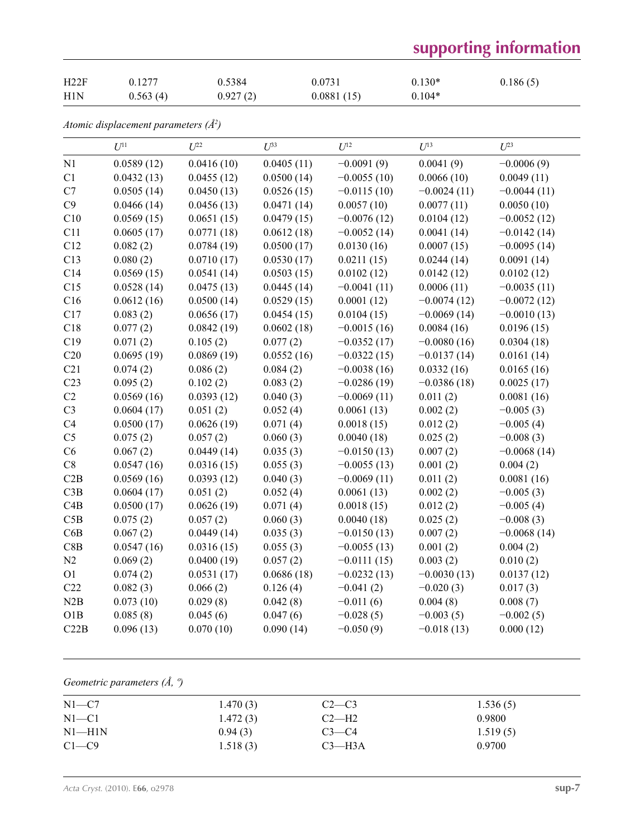# **supporting information**

| H22F | 0.1277   | 0.5384   | 0.0731     | $0.130*$ | 0.186(5) |
|------|----------|----------|------------|----------|----------|
| H1N  | 0.563(4) | 0.927(2) | 0.0881(15) | $0.104*$ |          |

*Atomic displacement parameters (Å2 )*

|                 | $U^{11}$   | $U^{22}$   | $U^{33}$   | $U^{12}$      | $U^{13}$      | $U^{23}$      |
|-----------------|------------|------------|------------|---------------|---------------|---------------|
| N1              | 0.0589(12) | 0.0416(10) | 0.0405(11) | $-0.0091(9)$  | 0.0041(9)     | $-0.0006(9)$  |
| C1              | 0.0432(13) | 0.0455(12) | 0.0500(14) | $-0.0055(10)$ | 0.0066(10)    | 0.0049(11)    |
| C7              | 0.0505(14) | 0.0450(13) | 0.0526(15) | $-0.0115(10)$ | $-0.0024(11)$ | $-0.0044(11)$ |
| C9              | 0.0466(14) | 0.0456(13) | 0.0471(14) | 0.0057(10)    | 0.0077(11)    | 0.0050(10)    |
| C10             | 0.0569(15) | 0.0651(15) | 0.0479(15) | $-0.0076(12)$ | 0.0104(12)    | $-0.0052(12)$ |
| C11             | 0.0605(17) | 0.0771(18) | 0.0612(18) | $-0.0052(14)$ | 0.0041(14)    | $-0.0142(14)$ |
| C12             | 0.082(2)   | 0.0784(19) | 0.0500(17) | 0.0130(16)    | 0.0007(15)    | $-0.0095(14)$ |
| C13             | 0.080(2)   | 0.0710(17) | 0.0530(17) | 0.0211(15)    | 0.0244(14)    | 0.0091(14)    |
| C14             | 0.0569(15) | 0.0541(14) | 0.0503(15) | 0.0102(12)    | 0.0142(12)    | 0.0102(12)    |
| C15             | 0.0528(14) | 0.0475(13) | 0.0445(14) | $-0.0041(11)$ | 0.0006(11)    | $-0.0035(11)$ |
| C16             | 0.0612(16) | 0.0500(14) | 0.0529(15) | 0.0001(12)    | $-0.0074(12)$ | $-0.0072(12)$ |
| C17             | 0.083(2)   | 0.0656(17) | 0.0454(15) | 0.0104(15)    | $-0.0069(14)$ | $-0.0010(13)$ |
| C18             | 0.077(2)   | 0.0842(19) | 0.0602(18) | $-0.0015(16)$ | 0.0084(16)    | 0.0196(15)    |
| C19             | 0.071(2)   | 0.105(2)   | 0.077(2)   | $-0.0352(17)$ | $-0.0080(16)$ | 0.0304(18)    |
| C20             | 0.0695(19) | 0.0869(19) | 0.0552(16) | $-0.0322(15)$ | $-0.0137(14)$ | 0.0161(14)    |
| C21             | 0.074(2)   | 0.086(2)   | 0.084(2)   | $-0.0038(16)$ | 0.0332(16)    | 0.0165(16)    |
| C <sub>23</sub> | 0.095(2)   | 0.102(2)   | 0.083(2)   | $-0.0286(19)$ | $-0.0386(18)$ | 0.0025(17)    |
| C2              | 0.0569(16) | 0.0393(12) | 0.040(3)   | $-0.0069(11)$ | 0.011(2)      | 0.0081(16)    |
| C <sub>3</sub>  | 0.0604(17) | 0.051(2)   | 0.052(4)   | 0.0061(13)    | 0.002(2)      | $-0.005(3)$   |
| C4              | 0.0500(17) | 0.0626(19) | 0.071(4)   | 0.0018(15)    | 0.012(2)      | $-0.005(4)$   |
| C <sub>5</sub>  | 0.075(2)   | 0.057(2)   | 0.060(3)   | 0.0040(18)    | 0.025(2)      | $-0.008(3)$   |
| C6              | 0.067(2)   | 0.0449(14) | 0.035(3)   | $-0.0150(13)$ | 0.007(2)      | $-0.0068(14)$ |
| $\mbox{C}8$     | 0.0547(16) | 0.0316(15) | 0.055(3)   | $-0.0055(13)$ | 0.001(2)      | 0.004(2)      |
| C2B             | 0.0569(16) | 0.0393(12) | 0.040(3)   | $-0.0069(11)$ | 0.011(2)      | 0.0081(16)    |
| C3B             | 0.0604(17) | 0.051(2)   | 0.052(4)   | 0.0061(13)    | 0.002(2)      | $-0.005(3)$   |
| C4B             | 0.0500(17) | 0.0626(19) | 0.071(4)   | 0.0018(15)    | 0.012(2)      | $-0.005(4)$   |
| C5B             | 0.075(2)   | 0.057(2)   | 0.060(3)   | 0.0040(18)    | 0.025(2)      | $-0.008(3)$   |
| C6B             | 0.067(2)   | 0.0449(14) | 0.035(3)   | $-0.0150(13)$ | 0.007(2)      | $-0.0068(14)$ |
| C8B             | 0.0547(16) | 0.0316(15) | 0.055(3)   | $-0.0055(13)$ | 0.001(2)      | 0.004(2)      |
| N2              | 0.069(2)   | 0.0400(19) | 0.057(2)   | $-0.0111(15)$ | 0.003(2)      | 0.010(2)      |
| O <sub>1</sub>  | 0.074(2)   | 0.0531(17) | 0.0686(18) | $-0.0232(13)$ | $-0.0030(13)$ | 0.0137(12)    |
| C22             | 0.082(3)   | 0.066(2)   | 0.126(4)   | $-0.041(2)$   | $-0.020(3)$   | 0.017(3)      |
| N2B             | 0.073(10)  | 0.029(8)   | 0.042(8)   | $-0.011(6)$   | 0.004(8)      | 0.008(7)      |
| O1B             | 0.085(8)   | 0.045(6)   | 0.047(6)   | $-0.028(5)$   | $-0.003(5)$   | $-0.002(5)$   |
| C22B            | 0.096(13)  | 0.070(10)  | 0.090(14)  | $-0.050(9)$   | $-0.018(13)$  | 0.000(12)     |

*Geometric parameters (Å, º)*

| 1.536(5) |
|----------|
| 0.9800   |
| 1.519(5) |
| 0.9700   |
|          |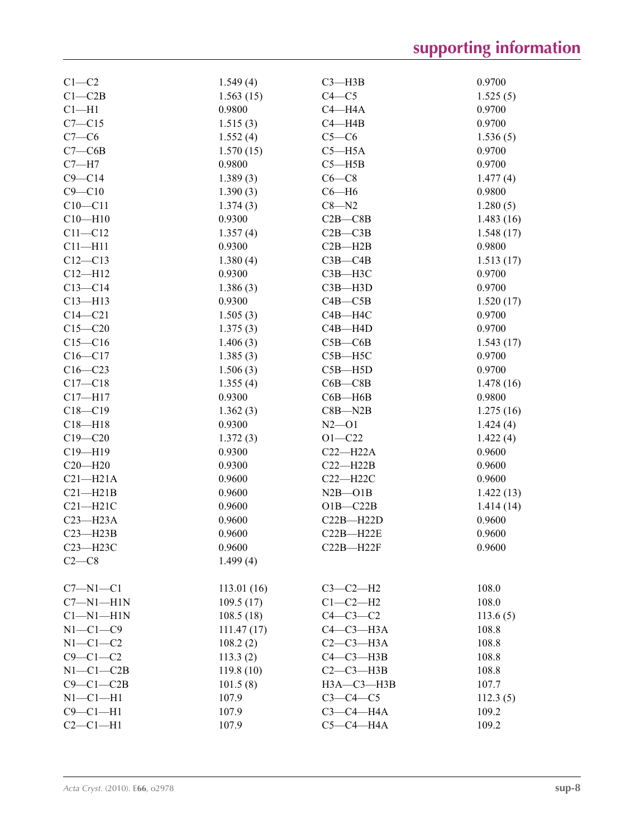| $C1-C2$         | 1.549(4)         | $C3$ —H3B       | 0.9700    |
|-----------------|------------------|-----------------|-----------|
| $C1 - C2B$      | 1.563(15)        | $C4 - C5$       | 1.525(5)  |
| $Cl-H1$         | 0.9800           | $C4 - H4A$      | 0.9700    |
| $C7 - C15$      | 1.515(3)         | $C4 - H4B$      | 0.9700    |
| $C7-C6$         | 1.552(4)         | $C5-C6$         | 1.536(5)  |
| $C7 - C6B$      | 1.570(15)        | $C5 - H5A$      | 0.9700    |
| $C7 - H7$       | 0.9800           | $C5 - H5B$      | 0.9700    |
| $C9 - C14$      | 1.389(3)         | $C6-C8$         | 1.477(4)  |
| $C9 - C10$      | 1.390(3)         | $C6 - H6$       | 0.9800    |
| $C10 - C11$     | 1.374(3)         | $C8 - N2$       | 1.280(5)  |
| $C10 - H10$     | 0.9300           | $C2B - C8B$     | 1.483(16) |
| $C11 - C12$     | 1.357(4)         | $C2B - C3B$     | 1.548(17) |
| $C11 - H11$     | 0.9300           | $C2B - H2B$     | 0.9800    |
| $C12 - C13$     | 1.380(4)         | $C3B - C4B$     | 1.513(17) |
| $C12 - H12$     | 0.9300           | $C3B - H3C$     | 0.9700    |
| $C13 - C14$     | 1.386(3)         | $C3B - H3D$     | 0.9700    |
| $C13 - H13$     | 0.9300           | $C4B - C5B$     | 1.520(17) |
| $C14 - C21$     | 1.505(3)         | $C4B - H4C$     | 0.9700    |
| $C15 - C20$     | 1.375(3)         | $C4B - H4D$     | 0.9700    |
| $C15 - C16$     | 1.406(3)         | $C5B - C6B$     | 1.543(17) |
| $C16 - C17$     | 1.385(3)         | $C5B - H5C$     | 0.9700    |
| $C16 - C23$     | 1.506(3)         | $C5B - H5D$     | 0.9700    |
| $C17 - C18$     | 1.355(4)         | $C6B - C8B$     | 1.478(16) |
| $C17 - H17$     | 0.9300           | $C6B - H6B$     | 0.9800    |
| $C18 - C19$     | 1.362(3)         | $C8B - N2B$     | 1.275(16) |
| $C18 - H18$     | 0.9300           | $N2$ —O1        | 1.424(4)  |
| $C19 - C20$     | 1.372(3)         | $O1 - C22$      | 1.422(4)  |
| $C19 - H19$     | 0.9300           | $C22-H22A$      | 0.9600    |
| $C20 - H20$     | 0.9300           | $C22 - H22B$    | 0.9600    |
| $C21 - H21A$    | 0.9600           | $C22 - H22C$    | 0.9600    |
| $C21 - H21B$    | 0.9600           | $N2B - O1B$     |           |
| $C21 - H21C$    |                  | $O1B - C22B$    | 1.422(13) |
| $C23 - H23A$    | 0.9600           |                 | 1.414(14) |
| $C23 - H23B$    | 0.9600<br>0.9600 | $C22B - H22D$   | 0.9600    |
|                 |                  | $C22B - H22E$   | 0.9600    |
| C23-H23C        | 0.9600           | $C22B - H22F$   | 0.9600    |
| $C2-C8$         | 1.499(4)         |                 |           |
| $C7 - N1 - C1$  | 113.01(16)       | $C3-C2-H2$      | 108.0     |
| $C7 - N1 - H1N$ | 109.5(17)        | $C1-C2-H2$      | 108.0     |
| $Cl-M1-H1N$     | 108.5(18)        | $C4-C3-C2$      | 113.6(5)  |
| $N1-C1-C9$      | 111.47(17)       | $C4-C3-H3A$     | 108.8     |
| $N1-C1-C2$      | 108.2(2)         | $C2-C3-H3A$     | 108.8     |
| $C9 - C1 - C2$  | 113.3(2)         | $C4 - C3 - H3B$ | 108.8     |
| $N1-C1-C2B$     | 119.8(10)        | $C2-C3-H3B$     | 108.8     |
| $C9 - C1 - C2B$ | 101.5(8)         | НЗА-СЗ-НЗВ      | 107.7     |
| $N1-C1-H1$      | 107.9            | $C3-C4-C5$      | 112.3(5)  |
| $C9 - C1 - H1$  | 107.9            | $C3-C4-H4A$     | 109.2     |
| $C2-C1-H1$      | 107.9            | $C5-C4-H4A$     | 109.2     |
|                 |                  |                 |           |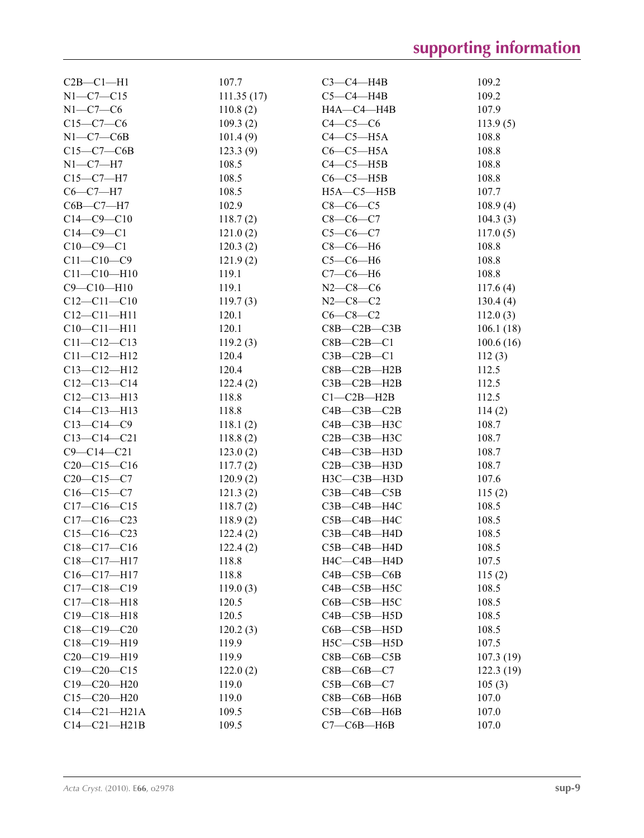| $C2B - C1 - H1$    | 107.7      | $C3-C4-H4B$           | 109.2     |
|--------------------|------------|-----------------------|-----------|
| $N1 - C7 - C15$    | 111.35(17) | $C5-C4-H4B$           | 109.2     |
| $N1-C7-C6$         | 110.8(2)   | HA—C4—H4B             | 107.9     |
| $C15-C7-C6$        | 109.3(2)   | $C4-C5-C6$            | 113.9(5)  |
| $N1-C7-C6B$        | 101.4(9)   | $C4-C5-H5A$           | 108.8     |
| $C15-C7-C6B$       | 123.3(9)   | $C6-C5-H5A$           | 108.8     |
| $N1-C7-H7$         | 108.5      | $C4-C5-H5B$           | 108.8     |
|                    |            |                       | 108.8     |
| $C15-C7-H7$        | 108.5      | $C6-C5-H5B$           |           |
| $C6-C7-H7$         | 108.5      | $H5A - C5 - H5B$      | 107.7     |
| $C6B - C7 - H7$    | 102.9      | $C8-C6-C5$            | 108.9(4)  |
| $C14 - C9 - C10$   | 118.7(2)   | $C8-C6-C7$            | 104.3(3)  |
| $C14-C9-C1$        | 121.0(2)   | $C5-C6-C7$            | 117.0(5)  |
| $C10-C9-C1$        | 120.3(2)   | $C8-C6-H6$            | 108.8     |
| $C11 - C10 - C9$   | 121.9(2)   | $C5-C6-H6$            | 108.8     |
| $C11 - C10 - H10$  | 119.1      | $C7-C6-H6$            | 108.8     |
| $C9 - C10 - H10$   | 119.1      | $N2-C8-C6$            | 117.6(4)  |
| $C12 - C11 - C10$  | 119.7(3)   | $N2 - C8 - C2$        | 130.4(4)  |
| $C12 - C11 - H11$  | 120.1      | $C6-C8-C2$            | 112.0(3)  |
| $C10-C11-H11$      | 120.1      | $C8B - C2B - C3B$     | 106.1(18) |
| $C11 - C12 - C13$  | 119.2(3)   | $C8B - C2B - C1$      | 100.6(16) |
| $C11 - C12 - H12$  | 120.4      | $C3B - C2B - C1$      | 112(3)    |
| $C13 - C12 - H12$  | 120.4      | $C8B - C2B - H2B$     | 112.5     |
| $C12-C13-C14$      | 122.4(2)   | $C3B - C2B - H2B$     | 112.5     |
| $C12 - C13 - H13$  | 118.8      | $C1 - C2B - H2B$      | 112.5     |
| $C14 - C13 - H13$  | 118.8      | $C4B - C3B - C2B$     | 114(2)    |
| $C13 - C14 - C9$   | 118.1(2)   | $C4B - C3B - H3C$     | 108.7     |
| $C13-C14-C21$      | 118.8(2)   | $C2B - C3B - H3C$     | 108.7     |
| $C9 - C14 - C21$   | 123.0(2)   | $C4B - C3B - H3D$     | 108.7     |
| $C20-C15-C16$      |            | $C2B - C3B - H3D$     | 108.7     |
|                    | 117.7(2)   |                       |           |
| $C20-C15-C7$       | 120.9(2)   | $H3C-C3B-H3D$         | 107.6     |
| $C16-C15-C7$       | 121.3(2)   | $C3B - C4B - C5B$     | 115(2)    |
| $C17-C16-C15$      | 118.7(2)   | $C3B - C4B - H4C$     | 108.5     |
| $C17-C16-C23$      | 118.9(2)   | $C5B - C4B - H4C$     | 108.5     |
| $C15-C16-C23$      | 122.4(2)   | $C3B - C4B - H4D$     | 108.5     |
| C18-C17-C16        | 122.4(2)   | C5B-C4B-H4D           | 108.5     |
| $C18-C17-H17$      | 118.8      | $H4C$ — $C4B$ — $H4D$ | 107.5     |
| $C16 - C17 - H17$  | 118.8      | $C4B - C5B - C6B$     | 115(2)    |
| $C17 - C18 - C19$  | 119.0(3)   | C4B-C5B-H5C           | 108.5     |
| $C17 - C18 - H18$  | 120.5      | $C6B - C5B - H5C$     | 108.5     |
| $C19 - C18 - H18$  | 120.5      | $C4B - C5B - H5D$     | 108.5     |
| $C18-C19-C20$      | 120.2(3)   | $C6B - C5B - H5D$     | 108.5     |
| C18-C19-H19        | 119.9      | $H5C-C5B-H5D$         | 107.5     |
| $C20-C19-H19$      | 119.9      | $C8B - C6B - C5B$     | 107.3(19) |
| $C19 - C20 - C15$  | 122.0(2)   | $C8B-C6B-C7$          | 122.3(19) |
| $C19 - C20 - H20$  | 119.0      | $C5B - C6B - C7$      | 105(3)    |
| $C15-C20-H20$      | 119.0      | $C8B - C6B - H6B$     | 107.0     |
| $C14 - C21 - H21A$ | 109.5      | $C5B - C6B - H6B$     | 107.0     |
| $C14-C21-H21B$     | 109.5      | $C7-C6B-H6B$          | 107.0     |
|                    |            |                       |           |